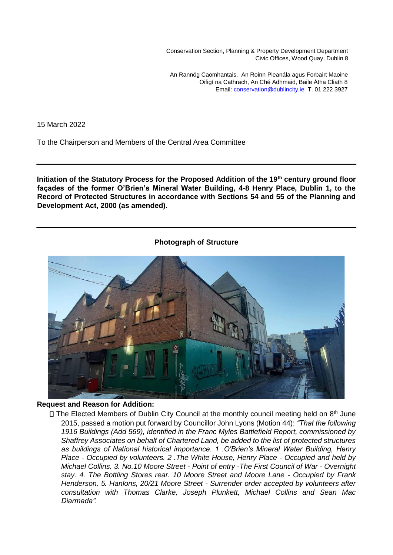Conservation Section, Planning & Property Development Department Civic Offices, Wood Quay, Dublin 8

An Rannóg Caomhantais, An Roinn Pleanála agus Forbairt Maoine Oifigí na Cathrach, An Ché Adhmaid, Baile Átha Cliath 8 Email: conservation@dublincity.ie T. 01 222 3927

15 March 2022

To the Chairperson and Members of the Central Area Committee

**Initiation of the Statutory Process for the Proposed Addition of the 19th century ground floor façades of the former O'Brien's Mineral Water Building, 4-8 Henry Place, Dublin 1, to the Record of Protected Structures in accordance with Sections 54 and 55 of the Planning and Development Act, 2000 (as amended).** 

#### **Photograph of Structure**



#### **Request and Reason for Addition:**

 $\Box$  The Elected Members of Dublin City Council at the monthly council meeting held on  $8<sup>th</sup>$  June 2015, passed a motion put forward by Councillor John Lyons (Motion 44): *"That the following 1916 Buildings (Add 569), identified in the Franc Myles Battlefield Report, commissioned by Shaffrey Associates on behalf of Chartered Land, be added to the list of protected structures as buildings of National historical importance. 1 .O'Brien's Mineral Water Building, Henry Place - Occupied by volunteers. 2 .The White House, Henry Place - Occupied and held by Michael Collins. 3. No.10 Moore Street - Point of entry -The First Council of War - Overnight stay. 4. The Bottling Stores rear. 10 Moore Street and Moore Lane - Occupied by Frank Henderson. 5. Hanlons, 20/21 Moore Street - Surrender order accepted by volunteers after consultation with Thomas Clarke, Joseph Plunkett, Michael Collins and Sean Mac Diarmada".*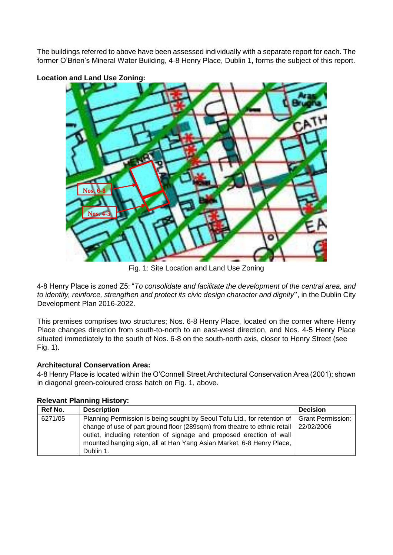The buildings referred to above have been assessed individually with a separate report for each. The former O'Brien's Mineral Water Building, 4-8 Henry Place, Dublin 1, forms the subject of this report.



# **Location and Land Use Zoning:**

Fig. 1: Site Location and Land Use Zoning

4-8 Henry Place is zoned Z5: "*To consolidate and facilitate the development of the central area, and to identify, reinforce, strengthen and protect its civic design character and dignity*", in the Dublin City Development Plan 2016-2022.

This premises comprises two structures; Nos. 6-8 Henry Place, located on the corner where Henry Place changes direction from south-to-north to an east-west direction, and Nos. 4-5 Henry Place situated immediately to the south of Nos. 6-8 on the south-north axis, closer to Henry Street (see Fig. 1).

# **Architectural Conservation Area:**

4-8 Henry Place is located within the O'Connell Street Architectural Conservation Area (2001); shown in diagonal green-coloured cross hatch on Fig. 1, above.

| Ref No. | <b>Description</b>                                                                                                                                                                                                                                                                                                                                  | <b>Decision</b> |
|---------|-----------------------------------------------------------------------------------------------------------------------------------------------------------------------------------------------------------------------------------------------------------------------------------------------------------------------------------------------------|-----------------|
| 6271/05 | Planning Permission is being sought by Seoul Tofu Ltd., for retention of   Grant Permission:<br>change of use of part ground floor (289sqm) from theatre to ethnic retail   22/02/2006<br>outlet, including retention of signage and proposed erection of wall<br>mounted hanging sign, all at Han Yang Asian Market, 6-8 Henry Place,<br>Dublin 1. |                 |

# **Relevant Planning History:**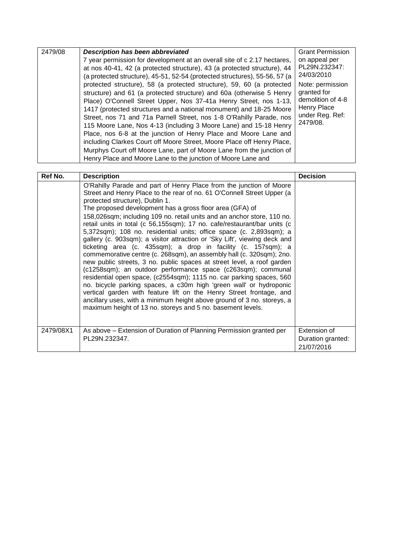| 2479/08 | <b>Description has been abbreviated</b>                                                                                                                                                                                                                                                                                                                                                                                                                                                                                                                                                                                                                                                                                                                                                                     | <b>Grant Permission</b>                                                                            |
|---------|-------------------------------------------------------------------------------------------------------------------------------------------------------------------------------------------------------------------------------------------------------------------------------------------------------------------------------------------------------------------------------------------------------------------------------------------------------------------------------------------------------------------------------------------------------------------------------------------------------------------------------------------------------------------------------------------------------------------------------------------------------------------------------------------------------------|----------------------------------------------------------------------------------------------------|
|         | 7 year permission for development at an overall site of c 2.17 hectares,<br>at nos 40-41, 42 (a protected structure), 43 (a protected structure), 44                                                                                                                                                                                                                                                                                                                                                                                                                                                                                                                                                                                                                                                        | on appeal per<br>PL29N.232347:<br>24/03/2010                                                       |
|         | (a protected structure), 45-51, 52-54 (protected structures), 55-56, 57 (a<br>protected structure), 58 (a protected structure), 59, 60 (a protected<br>structure) and 61 (a protected structure) and 60a (otherwise 5 Henry<br>Place) O'Connell Street Upper, Nos 37-41a Henry Street, nos 1-13,<br>1417 (protected structures and a national monument) and 18-25 Moore<br>Street, nos 71 and 71a Parnell Street, nos 1-8 O'Rahilly Parade, nos<br>115 Moore Lane, Nos 4-13 (including 3 Moore Lane) and 15-18 Henry<br>Place, nos 6-8 at the junction of Henry Place and Moore Lane and<br>including Clarkes Court off Moore Street, Moore Place off Henry Place,<br>Murphys Court off Moore Lane, part of Moore Lane from the junction of<br>Henry Place and Moore Lane to the junction of Moore Lane and | Note: permission<br>granted for<br>demolition of 4-8<br>Henry Place<br>under Reg. Ref:<br>2479/08. |

| Ref No.   | <b>Description</b>                                                                                                                                                                                                                                                                                                                                                                                                                                                                                                                                                                                                                                                                                                                                                                                                                                                                                                                                                                                                                                                                                                                                                                                       | <b>Decision</b>                                 |
|-----------|----------------------------------------------------------------------------------------------------------------------------------------------------------------------------------------------------------------------------------------------------------------------------------------------------------------------------------------------------------------------------------------------------------------------------------------------------------------------------------------------------------------------------------------------------------------------------------------------------------------------------------------------------------------------------------------------------------------------------------------------------------------------------------------------------------------------------------------------------------------------------------------------------------------------------------------------------------------------------------------------------------------------------------------------------------------------------------------------------------------------------------------------------------------------------------------------------------|-------------------------------------------------|
|           | O'Rahilly Parade and part of Henry Place from the junction of Moore<br>Street and Henry Place to the rear of no. 61 O'Connell Street Upper (a<br>protected structure), Dublin 1.<br>The proposed development has a gross floor area (GFA) of<br>158,026sqm; including 109 no. retail units and an anchor store, 110 no.<br>retail units in total (c 56,155sqm); 17 no. cafe/restaurant/bar units (c<br>5,372sqm); 108 no. residential units; office space (c. 2,893sqm); a<br>gallery (c. 903sqm); a visitor attraction or 'Sky Lift', viewing deck and<br>ticketing area (c. 435sqm); a drop in facility (c. 157sqm); a<br>commemorative centre (c. 268sqm), an assembly hall (c. 320sqm); 2no.<br>new public streets, 3 no. public spaces at street level, a roof garden<br>(c1258sqm); an outdoor performance space (c263sqm); communal<br>residential open space, (c2554sqm); 1115 no. car parking spaces, 560<br>no. bicycle parking spaces, a c30m high 'green wall' or hydroponic<br>vertical garden with feature lift on the Henry Street frontage, and<br>ancillary uses, with a minimum height above ground of 3 no. storeys, a<br>maximum height of 13 no. storeys and 5 no. basement levels. |                                                 |
| 2479/08X1 | As above – Extension of Duration of Planning Permission granted per<br>PL29N.232347.                                                                                                                                                                                                                                                                                                                                                                                                                                                                                                                                                                                                                                                                                                                                                                                                                                                                                                                                                                                                                                                                                                                     | Extension of<br>Duration granted:<br>21/07/2016 |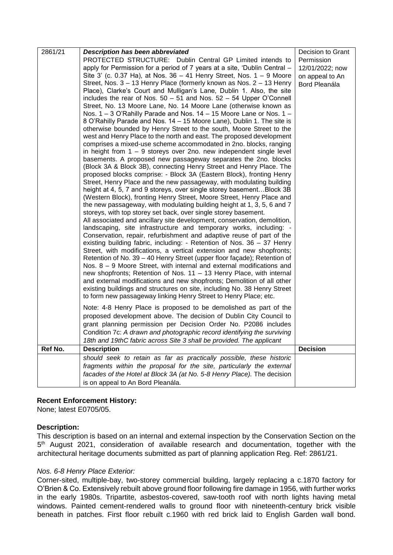| 2861/21 | <b>Description has been abbreviated</b>                                                                                                            | Decision to Grant |
|---------|----------------------------------------------------------------------------------------------------------------------------------------------------|-------------------|
|         | PROTECTED STRUCTURE: Dublin Central GP Limited intends to                                                                                          | Permission        |
|         | apply for Permission for a period of 7 years at a site, 'Dublin Central -                                                                          | 12/01/2022; now   |
|         | Site 3' (c. 0.37 Ha), at Nos. 36 - 41 Henry Street, Nos. 1 - 9 Moore                                                                               | on appeal to An   |
|         | Street, Nos. 3 - 13 Henry Place (formerly known as Nos. 2 - 13 Henry                                                                               | Bord Pleanála     |
|         | Place), Clarke's Court and Mulligan's Lane, Dublin 1. Also, the site                                                                               |                   |
|         | includes the rear of Nos. $50 - 51$ and Nos. $52 - 54$ Upper O'Connell                                                                             |                   |
|         | Street, No. 13 Moore Lane, No. 14 Moore Lane (otherwise known as<br>Nos. 1 - 3 O'Rahilly Parade and Nos. 14 - 15 Moore Lane or Nos. 1 -            |                   |
|         | 8 O'Rahilly Parade and Nos. 14 - 15 Moore Lane), Dublin 1. The site is                                                                             |                   |
|         | otherwise bounded by Henry Street to the south, Moore Street to the                                                                                |                   |
|         | west and Henry Place to the north and east. The proposed development                                                                               |                   |
|         | comprises a mixed-use scheme accommodated in 2no. blocks, ranging                                                                                  |                   |
|         | in height from $1 - 9$ storeys over 2no. new independent single level                                                                              |                   |
|         | basements. A proposed new passageway separates the 2no. blocks                                                                                     |                   |
|         | (Block 3A & Block 3B), connecting Henry Street and Henry Place. The                                                                                |                   |
|         | proposed blocks comprise: - Block 3A (Eastern Block), fronting Henry                                                                               |                   |
|         | Street, Henry Place and the new passageway, with modulating building                                                                               |                   |
|         | height at 4, 5, 7 and 9 storeys, over single storey basementBlock 3B<br>(Western Block), fronting Henry Street, Moore Street, Henry Place and      |                   |
|         | the new passageway, with modulating building height at 1, 3, 5, 6 and 7                                                                            |                   |
|         | storeys, with top storey set back, over single storey basement.                                                                                    |                   |
|         | All associated and ancillary site development, conservation, demolition,                                                                           |                   |
|         | landscaping, site infrastructure and temporary works, including: -                                                                                 |                   |
|         | Conservation, repair, refurbishment and adaptive reuse of part of the                                                                              |                   |
|         | existing building fabric, including: - Retention of Nos. 36 - 37 Henry                                                                             |                   |
|         | Street, with modifications, a vertical extension and new shopfronts;                                                                               |                   |
|         | Retention of No. 39 - 40 Henry Street (upper floor façade); Retention of                                                                           |                   |
|         | Nos. $8 - 9$ Moore Street, with internal and external modifications and                                                                            |                   |
|         | new shopfronts; Retention of Nos. 11 - 13 Henry Place, with internal                                                                               |                   |
|         | and external modifications and new shopfronts; Demolition of all other<br>existing buildings and structures on site, including No. 38 Henry Street |                   |
|         | to form new passageway linking Henry Street to Henry Place; etc.                                                                                   |                   |
|         |                                                                                                                                                    |                   |
|         | Note: 4-8 Henry Place is proposed to be demolished as part of the                                                                                  |                   |
|         | proposed development above. The decision of Dublin City Council to                                                                                 |                   |
|         | grant planning permission per Decision Order No. P2086 includes<br>Condition 7c: A drawn and photographic record identifying the surviving         |                   |
|         | 18th and 19thC fabric across Site 3 shall be provided. The applicant                                                                               |                   |
| Ref No. | <b>Description</b>                                                                                                                                 | <b>Decision</b>   |
|         | should seek to retain as far as practically possible, these historic                                                                               |                   |
|         | fragments within the proposal for the site, particularly the external                                                                              |                   |
|         | facades of the Hotel at Block 3A (at No. 5-8 Henry Place). The decision                                                                            |                   |
|         | is on appeal to An Bord Pleanála.                                                                                                                  |                   |

# **Recent Enforcement History:**

None; latest E0705/05.

# **Description:**

This description is based on an internal and external inspection by the Conservation Section on the 5<sup>th</sup> August 2021, consideration of available research and documentation, together with the architectural heritage documents submitted as part of planning application Reg. Ref: 2861/21.

# *Nos. 6-8 Henry Place Exterior:*

Corner-sited, multiple-bay, two-storey commercial building, largely replacing a c.1870 factory for O'Brien & Co. Extensively rebuilt above ground floor following fire damage in 1956, with further works in the early 1980s. Tripartite, asbestos-covered, saw-tooth roof with north lights having metal windows. Painted cement-rendered walls to ground floor with nineteenth-century brick visible beneath in patches. First floor rebuilt c.1960 with red brick laid to English Garden wall bond.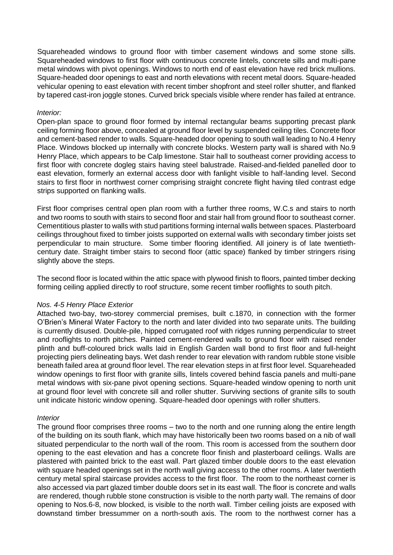Squareheaded windows to ground floor with timber casement windows and some stone sills. Squareheaded windows to first floor with continuous concrete lintels, concrete sills and multi-pane metal windows with pivot openings. Windows to north end of east elevation have red brick mullions. Square-headed door openings to east and north elevations with recent metal doors. Square-headed vehicular opening to east elevation with recent timber shopfront and steel roller shutter, and flanked by tapered cast-iron joggle stones. Curved brick specials visible where render has failed at entrance.

#### *Interior:*

Open-plan space to ground floor formed by internal rectangular beams supporting precast plank ceiling forming floor above, concealed at ground floor level by suspended ceiling tiles. Concrete floor and cement-based render to walls. Square-headed door opening to south wall leading to No.4 Henry Place. Windows blocked up internally with concrete blocks. Western party wall is shared with No.9 Henry Place, which appears to be Calp limestone. Stair hall to southeast corner providing access to first floor with concrete dogleg stairs having steel balustrade. Raised-and-fielded panelled door to east elevation, formerly an external access door with fanlight visible to half-landing level. Second stairs to first floor in northwest corner comprising straight concrete flight having tiled contrast edge strips supported on flanking walls.

First floor comprises central open plan room with a further three rooms, W.C.s and stairs to north and two rooms to south with stairs to second floor and stair hall from ground floor to southeast corner. Cementitious plaster to walls with stud partitions forming internal walls between spaces. Plasterboard ceilings throughout fixed to timber joists supported on external walls with secondary timber joists set perpendicular to main structure. Some timber flooring identified. All joinery is of late twentiethcentury date. Straight timber stairs to second floor (attic space) flanked by timber stringers rising slightly above the steps.

The second floor is located within the attic space with plywood finish to floors, painted timber decking forming ceiling applied directly to roof structure, some recent timber rooflights to south pitch.

#### *Nos. 4-5 Henry Place Exterior*

Attached two-bay, two-storey commercial premises, built c.1870, in connection with the former O'Brien's Mineral Water Factory to the north and later divided into two separate units. The building is currently disused. Double-pile, hipped corrugated roof with ridges running perpendicular to street and rooflights to north pitches. Painted cement-rendered walls to ground floor with raised render plinth and buff-coloured brick walls laid in English Garden wall bond to first floor and full-height projecting piers delineating bays. Wet dash render to rear elevation with random rubble stone visible beneath failed area at ground floor level. The rear elevation steps in at first floor level. Squareheaded window openings to first floor with granite sills, lintels covered behind fascia panels and multi-pane metal windows with six-pane pivot opening sections. Square-headed window opening to north unit at ground floor level with concrete sill and roller shutter. Surviving sections of granite sills to south unit indicate historic window opening. Square-headed door openings with roller shutters.

# *Interior*

The ground floor comprises three rooms – two to the north and one running along the entire length of the building on its south flank, which may have historically been two rooms based on a nib of wall situated perpendicular to the north wall of the room. This room is accessed from the southern door opening to the east elevation and has a concrete floor finish and plasterboard ceilings. Walls are plastered with painted brick to the east wall. Part glazed timber double doors to the east elevation with square headed openings set in the north wall giving access to the other rooms. A later twentieth century metal spiral staircase provides access to the first floor. The room to the northeast corner is also accessed via part glazed timber double doors set in its east wall. The floor is concrete and walls are rendered, though rubble stone construction is visible to the north party wall. The remains of door opening to Nos.6-8, now blocked, is visible to the north wall. Timber ceiling joists are exposed with downstand timber bressummer on a north-south axis. The room to the northwest corner has a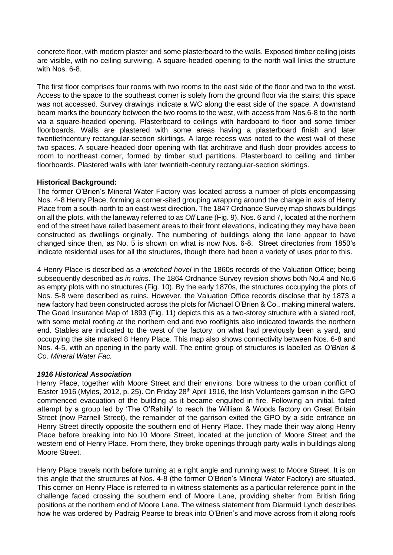concrete floor, with modern plaster and some plasterboard to the walls. Exposed timber ceiling joists are visible, with no ceiling surviving. A square-headed opening to the north wall links the structure with Nos. 6-8.

The first floor comprises four rooms with two rooms to the east side of the floor and two to the west. Access to the space to the southeast corner is solely from the ground floor via the stairs; this space was not accessed. Survey drawings indicate a WC along the east side of the space. A downstand beam marks the boundary between the two rooms to the west, with access from Nos.6-8 to the north via a square-headed opening. Plasterboard to ceilings with hardboard to floor and some timber floorboards. Walls are plastered with some areas having a plasterboard finish and later twentiethcentury rectangular-section skirtings. A large recess was noted to the west wall of these two spaces. A square-headed door opening with flat architrave and flush door provides access to room to northeast corner, formed by timber stud partitions. Plasterboard to ceiling and timber floorboards. Plastered walls with later twentieth-century rectangular-section skirtings.

# **Historical Background:**

The former O'Brien's Mineral Water Factory was located across a number of plots encompassing Nos. 4-8 Henry Place, forming a corner-sited grouping wrapping around the change in axis of Henry Place from a south-north to an east-west direction. The 1847 Ordnance Survey map shows buildings on all the plots, with the laneway referred to as *Off Lane* (Fig. 9). Nos. 6 and 7, located at the northern end of the street have railed basement areas to their front elevations, indicating they may have been constructed as dwellings originally. The numbering of buildings along the lane appear to have changed since then, as No. 5 is shown on what is now Nos. 6-8. Street directories from 1850's indicate residential uses for all the structures, though there had been a variety of uses prior to this.

4 Henry Place is described as *a wretched hovel* in the 1860s records of the Valuation Office; being subsequently described as *in ruins*. The 1864 Ordnance Survey revision shows both No.4 and No.6 as empty plots with no structures (Fig. 10). By the early 1870s, the structures occupying the plots of Nos. 5-8 were described as ruins. However, the Valuation Office records disclose that by 1873 a new factory had been constructed across the plots for Michael O'Brien & Co., making mineral waters. The Goad Insurance Map of 1893 (Fig. 11) depicts this as a two-storey structure with a slated roof, with some metal roofing at the northern end and two rooflights also indicated towards the northern end. Stables are indicated to the west of the factory, on what had previously been a yard, and occupying the site marked 8 Henry Place. This map also shows connectivity between Nos. 6-8 and Nos. 4-5, with an opening in the party wall. The entire group of structures is labelled as *O'Brien & Co, Mineral Water Fac.* 

# *1916 Historical Association*

Henry Place, together with Moore Street and their environs, bore witness to the urban conflict of Easter 1916 (Myles, 2012, p. 25). On Friday 28<sup>th</sup> April 1916, the Irish Volunteers garrison in the GPO commenced evacuation of the building as it became engulfed in fire. Following an initial, failed attempt by a group led by 'The O'Rahilly' to reach the William & Woods factory on Great Britain Street (now Parnell Street), the remainder of the garrison exited the GPO by a side entrance on Henry Street directly opposite the southern end of Henry Place. They made their way along Henry Place before breaking into No.10 Moore Street, located at the junction of Moore Street and the western end of Henry Place. From there, they broke openings through party walls in buildings along Moore Street.

Henry Place travels north before turning at a right angle and running west to Moore Street. It is on this angle that the structures at Nos. 4-8 (the former O'Brien's Mineral Water Factory) are situated. This corner on Henry Place is referred to in witness statements as a particular reference point in the challenge faced crossing the southern end of Moore Lane, providing shelter from British firing positions at the northern end of Moore Lane. The witness statement from Diarmuid Lynch describes how he was ordered by Padraig Pearse to break into O'Brien's and move across from it along roofs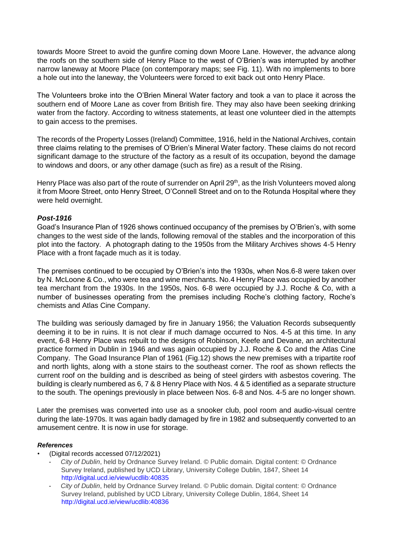towards Moore Street to avoid the gunfire coming down Moore Lane. However, the advance along the roofs on the southern side of Henry Place to the west of O'Brien's was interrupted by another narrow laneway at Moore Place (on contemporary maps; see Fig. 11). With no implements to bore a hole out into the laneway, the Volunteers were forced to exit back out onto Henry Place.

The Volunteers broke into the O'Brien Mineral Water factory and took a van to place it across the southern end of Moore Lane as cover from British fire. They may also have been seeking drinking water from the factory. According to witness statements, at least one volunteer died in the attempts to gain access to the premises.

The records of the Property Losses (Ireland) Committee, 1916, held in the National Archives, contain three claims relating to the premises of O'Brien's Mineral Water factory. These claims do not record significant damage to the structure of the factory as a result of its occupation, beyond the damage to windows and doors, or any other damage (such as fire) as a result of the Rising.

Henry Place was also part of the route of surrender on April 29<sup>th</sup>, as the Irish Volunteers moved along it from Moore Street, onto Henry Street, O'Connell Street and on to the Rotunda Hospital where they were held overnight.

# *Post-1916*

Goad's Insurance Plan of 1926 shows continued occupancy of the premises by O'Brien's, with some changes to the west side of the lands, following removal of the stables and the incorporation of this plot into the factory. A photograph dating to the 1950s from the Military Archives shows 4-5 Henry Place with a front façade much as it is today.

The premises continued to be occupied by O'Brien's into the 1930s, when Nos.6-8 were taken over by N. McLoone & Co., who were tea and wine merchants. No.4 Henry Place was occupied by another tea merchant from the 1930s. In the 1950s, Nos. 6-8 were occupied by J.J. Roche & Co, with a number of businesses operating from the premises including Roche's clothing factory, Roche's chemists and Atlas Cine Company.

The building was seriously damaged by fire in January 1956; the Valuation Records subsequently deeming it to be in ruins. It is not clear if much damage occurred to Nos. 4-5 at this time. In any event, 6-8 Henry Place was rebuilt to the designs of Robinson, Keefe and Devane, an architectural practice formed in Dublin in 1946 and was again occupied by J.J. Roche & Co and the Atlas Cine Company. The Goad Insurance Plan of 1961 (Fig.12) shows the new premises with a tripartite roof and north lights, along with a stone stairs to the southeast corner. The roof as shown reflects the current roof on the building and is described as being of steel girders with asbestos covering. The building is clearly numbered as 6, 7 & 8 Henry Place with Nos. 4 & 5 identified as a separate structure to the south. The openings previously in place between Nos. 6-8 and Nos. 4-5 are no longer shown.

Later the premises was converted into use as a snooker club, pool room and audio-visual centre during the late-1970s. It was again badly damaged by fire in 1982 and subsequently converted to an amusement centre. It is now in use for storage.

# *References*

- (Digital records accessed 07/12/2021)
	- *City of Dublin*, held by Ordnance Survey Ireland. © Public domain. Digital content: © Ordnance Survey Ireland, published by UCD Library, University College Dublin, 1847, Sheet 14 http://digital.ucd.ie/view/ucdlib:40835
	- *City of Dublin*, held by Ordnance Survey Ireland. © Public domain. Digital content: © Ordnance Survey Ireland, published by UCD Library, University College Dublin, 1864, Sheet 14 http://digital.ucd.ie/view/ucdlib:40836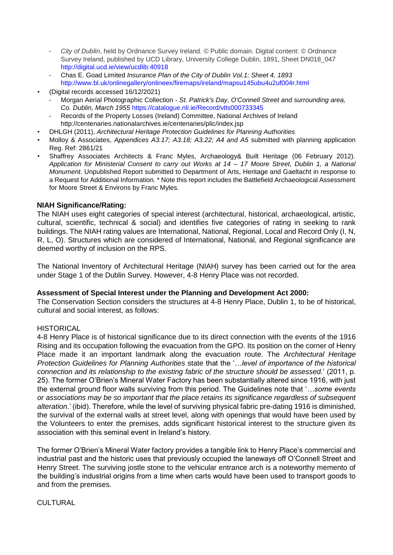- *City of Dublin*, held by Ordnance Survey Ireland. © Public domain. Digital content: © Ordnance Survey Ireland, published by UCD Library, University College Dublin, 1891, Sheet DN018\_047 http://digital.ucd.ie/view/ucdlib:40918
- Chas E. Goad Limited *Insurance Plan of the City of Dublin Vol.1: Sheet 4, 1893* http://www.bl.uk/onlinegallery/onlineex/firemaps/ireland/mapsu145ubu4u2uf004r.html
- (Digital records accessed 16/12/2021)
	- Morgan Aerial Photographic Collection *St. Patrick's Day, O'Connell Street and surrounding area, Co. Dublin, March 1955* https://catalogue.nli.ie/Record/vtls000733345
	- Records of the Property Losses (Ireland) Committee, National Archives of Ireland http://centenaries.nationalarchives.ie/centenaries/plic/index.jsp
- DHLGH (2011), *Architectural Heritage Protection Guidelines for Planning Authorities*
- Molloy & Associates, *Appendices A3.17; A3.18; A3.22; A4 and A5* submitted with planning application Reg. Ref: 2861/21
- Shaffrey Associates Architects & Franc Myles, Archaeology& Built Heritage (06 February 2012). *Application for Ministerial Consent to carry out Works at 14 – 17 Moore Street, Dublin 1, a National Monument*. Unpublished Report submitted to Department of Arts, Heritage and Gaeltacht in response to a Request for Additional Information. \* Note this report includes the Battlefield Archaeological Assessment for Moore Street & Environs by Franc Myles.

# **NIAH Significance/Rating:**

The NIAH uses eight categories of special interest (architectural, historical, archaeological, artistic, cultural, scientific, technical & social) and identifies five categories of rating in seeking to rank buildings. The NIAH rating values are International, National, Regional, Local and Record Only (I, N, R, L, O). Structures which are considered of International, National, and Regional significance are deemed worthy of inclusion on the RPS.

The National Inventory of Architectural Heritage (NIAH) survey has been carried out for the area under Stage 1 of the Dublin Survey. However, 4-8 Henry Place was not recorded.

#### **Assessment of Special Interest under the Planning and Development Act 2000:**

The Conservation Section considers the structures at 4-8 Henry Place, Dublin 1, to be of historical, cultural and social interest, as follows:

# **HISTORICAL**

4-8 Henry Place is of historical significance due to its direct connection with the events of the 1916 Rising and its occupation following the evacuation from the GPO. Its position on the corner of Henry Place made it an important landmark along the evacuation route. The *Architectural Heritage Protection Guidelines for Planning Authorities* state that the '*…level of importance of the historical connection and its relationship to the existing fabric of the structure should be assessed.*' (2011, p. 25). The former O'Brien's Mineral Water Factory has been substantially altered since 1916, with just the external ground floor walls surviving from this period. The Guidelines note that '*…some events or associations may be so important that the place retains its significance regardless of subsequent alteration*.' (ibid). Therefore, while the level of surviving physical fabric pre-dating 1916 is diminished, the survival of the external walls at street level, along with openings that would have been used by the Volunteers to enter the premises, adds significant historical interest to the structure given its association with this seminal event in Ireland's history.

The former O'Brien's Mineral Water factory provides a tangible link to Henry Place's commercial and industrial past and the historic uses that previously occupied the laneways off O'Connell Street and Henry Street. The surviving jostle stone to the vehicular entrance arch is a noteworthy memento of the building's industrial origins from a time when carts would have been used to transport goods to and from the premises.

# **CULTURAL**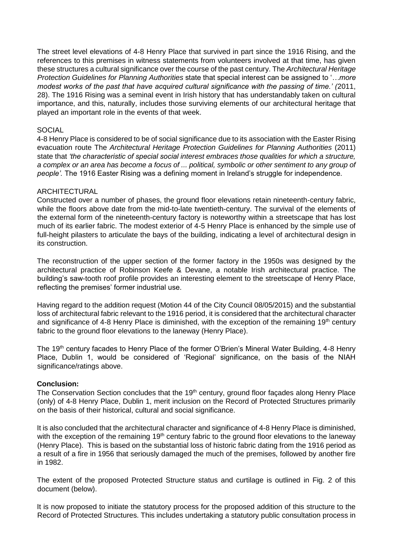The street level elevations of 4-8 Henry Place that survived in part since the 1916 Rising, and the references to this premises in witness statements from volunteers involved at that time, has given these structures a cultural significance over the course of the past century. The *Architectural Heritage Protection Guidelines for Planning Authorities* state that special interest can be assigned to '*…more modest works of the past that have acquired cultural significance with the passing of time.' (*2011, 28). The 1916 Rising was a seminal event in Irish history that has understandably taken on cultural importance, and this, naturally, includes those surviving elements of our architectural heritage that played an important role in the events of that week.

#### SOCIAL

4-8 Henry Place is considered to be of social significance due to its association with the Easter Rising evacuation route The *Architectural Heritage Protection Guidelines for Planning Authorities* (2011) state that *'the characteristic of special social interest embraces those qualities for which a structure, a complex or an area has become a focus of ... political, symbolic or other sentiment to any group of people'.* The 1916 Easter Rising was a defining moment in Ireland's struggle for independence.

#### ARCHITECTURAL

Constructed over a number of phases, the ground floor elevations retain nineteenth-century fabric, while the floors above date from the mid-to-late twentieth-century. The survival of the elements of the external form of the nineteenth-century factory is noteworthy within a streetscape that has lost much of its earlier fabric. The modest exterior of 4-5 Henry Place is enhanced by the simple use of full-height pilasters to articulate the bays of the building, indicating a level of architectural design in its construction.

The reconstruction of the upper section of the former factory in the 1950s was designed by the architectural practice of Robinson Keefe & Devane, a notable Irish architectural practice. The building's saw-tooth roof profile provides an interesting element to the streetscape of Henry Place, reflecting the premises' former industrial use.

Having regard to the addition request (Motion 44 of the City Council 08/05/2015) and the substantial loss of architectural fabric relevant to the 1916 period, it is considered that the architectural character and significance of 4-8 Henry Place is diminished, with the exception of the remaining  $19<sup>th</sup>$  century fabric to the ground floor elevations to the laneway (Henry Place).

The 19<sup>th</sup> century facades to Henry Place of the former O'Brien's Mineral Water Building, 4-8 Henry Place, Dublin 1, would be considered of 'Regional' significance, on the basis of the NIAH significance/ratings above.

# **Conclusion:**

The Conservation Section concludes that the 19<sup>th</sup> century, ground floor façades along Henry Place (only) of 4-8 Henry Place, Dublin 1, merit inclusion on the Record of Protected Structures primarily on the basis of their historical, cultural and social significance.

It is also concluded that the architectural character and significance of 4-8 Henry Place is diminished, with the exception of the remaining 19<sup>th</sup> century fabric to the ground floor elevations to the laneway (Henry Place). This is based on the substantial loss of historic fabric dating from the 1916 period as a result of a fire in 1956 that seriously damaged the much of the premises, followed by another fire in 1982.

The extent of the proposed Protected Structure status and curtilage is outlined in Fig. 2 of this document (below).

It is now proposed to initiate the statutory process for the proposed addition of this structure to the Record of Protected Structures. This includes undertaking a statutory public consultation process in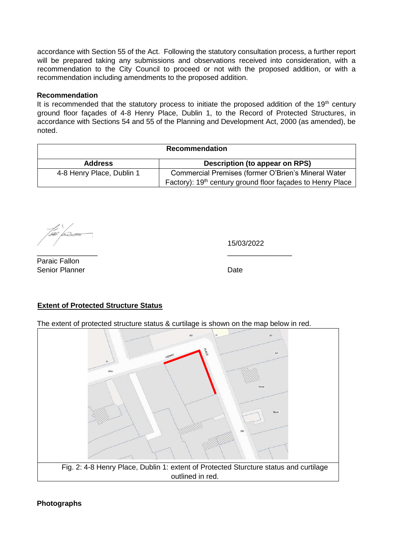accordance with Section 55 of the Act. Following the statutory consultation process, a further report will be prepared taking any submissions and observations received into consideration, with a recommendation to the City Council to proceed or not with the proposed addition, or with a recommendation including amendments to the proposed addition.

#### **Recommendation**

It is recommended that the statutory process to initiate the proposed addition of the  $19<sup>th</sup>$  century ground floor façades of 4-8 Henry Place, Dublin 1, to the Record of Protected Structures, in accordance with Sections 54 and 55 of the Planning and Development Act, 2000 (as amended), be noted.

| <b>Recommendation</b>     |                                                                        |  |
|---------------------------|------------------------------------------------------------------------|--|
| <b>Address</b>            | Description (to appear on RPS)                                         |  |
| 4-8 Henry Place, Dublin 1 | Commercial Premises (former O'Brien's Mineral Water                    |  |
|                           | Factory): 19 <sup>th</sup> century ground floor facades to Henry Place |  |

15/03/2022

Paraic Fallon Senior Planner **Date** 

# **Extent of Protected Structure Status**

The extent of protected structure status & curtilage is shown on the map below in red.

\_\_\_\_\_\_\_\_\_\_\_\_\_\_\_ \_\_\_\_\_\_\_\_\_\_\_\_\_\_\_\_



# **Photographs**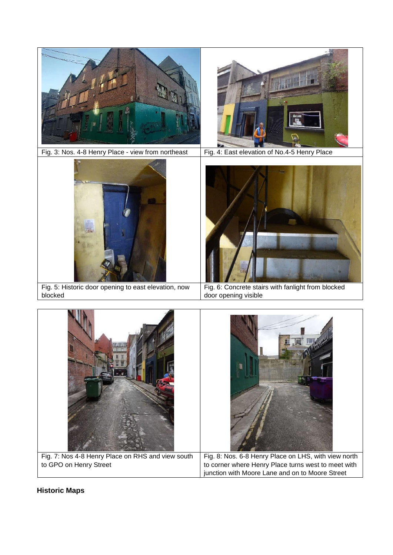

Fig. 7: Nos 4-8 Henry Place on RHS and view south to GPO on Henry Street Fig. 8: Nos. 6-8 Henry Place on LHS, with view north to corner where Henry Place turns west to meet with junction with Moore Lane and on to Moore Street

# **Historic Maps**